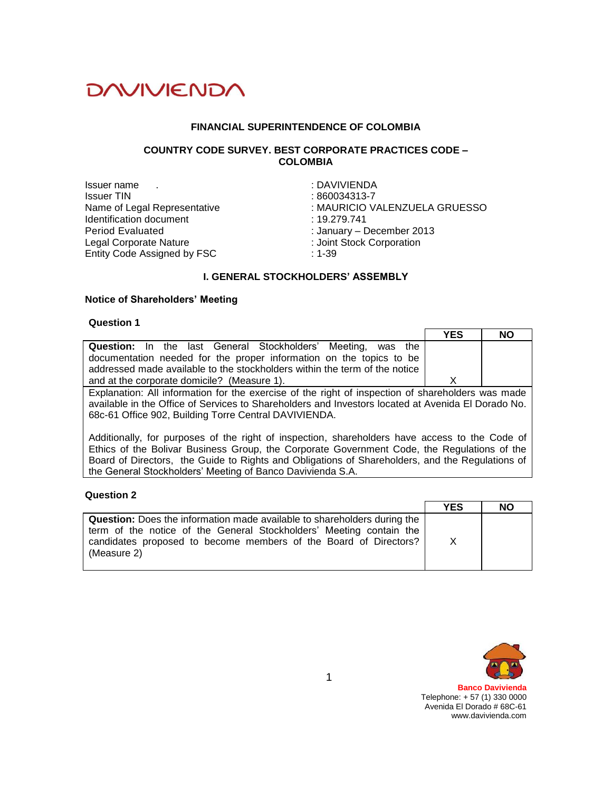

#### **FINANCIAL SUPERINTENDENCE OF COLOMBIA**

### **COUNTRY CODE SURVEY. BEST CORPORATE PRACTICES CODE – COLOMBIA**

Issuer name . Issuer TIN Name of Legal Representative Identification document Period Evaluated Legal Corporate Nature Entity Code Assigned by FSC

: DAVIVIENDA : 860034313-7 : MAURICIO VALENZUELA GRUESSO : 19.279.741 : January – December 2013 : Joint Stock Corporation : 1-39

### **I. GENERAL STOCKHOLDERS' ASSEMBLY**

#### **Notice of Shareholders' Meeting**

#### **Question 1**

|                                                                                                    | <b>YES</b> | <b>NO</b> |
|----------------------------------------------------------------------------------------------------|------------|-----------|
| <b>Question:</b> In the last General Stockholders' Meeting, was the                                |            |           |
| documentation needed for the proper information on the topics to be                                |            |           |
| addressed made available to the stockholders within the term of the notice                         |            |           |
| and at the corporate domicile? (Measure 1).                                                        | x          |           |
| Explanation: All information for the exercise of the right of inspection of shareholders was made  |            |           |
| available in the Office of Services to Shareholders and Investors located at Avenida El Dorado No. |            |           |
| 68c-61 Office 902, Building Torre Central DAVIVIENDA.                                              |            |           |

Additionally, for purposes of the right of inspection, shareholders have access to the Code of Ethics of the Bolivar Business Group, the Corporate Government Code, the Regulations of the Board of Directors, the Guide to Rights and Obligations of Shareholders, and the Regulations of the General Stockholders' Meeting of Banco Davivienda S.A.

#### **Question 2**

|                                                                                                                                                                                                                                           | <b>YES</b> | <b>NO</b> |
|-------------------------------------------------------------------------------------------------------------------------------------------------------------------------------------------------------------------------------------------|------------|-----------|
| <b>Question:</b> Does the information made available to shareholders during the<br>term of the notice of the General Stockholders' Meeting contain the<br>candidates proposed to become members of the Board of Directors?<br>(Measure 2) | X          |           |

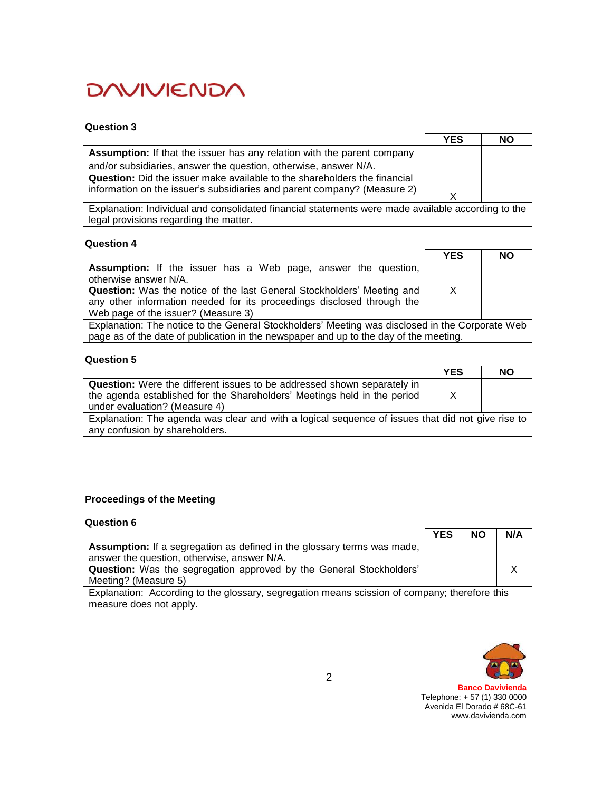## **Question 3**

|                                                                           | YES | NO |
|---------------------------------------------------------------------------|-----|----|
| Assumption: If that the issuer has any relation with the parent company   |     |    |
| and/or subsidiaries, answer the question, otherwise, answer N/A.          |     |    |
| Question: Did the issuer make available to the shareholders the financial |     |    |
| information on the issuer's subsidiaries and parent company? (Measure 2)  |     |    |

Explanation: Individual and consolidated financial statements were made available according to the legal provisions regarding the matter.

## **Question 4**

|                                                                                                 | <b>YES</b> | <b>NO</b> |
|-------------------------------------------------------------------------------------------------|------------|-----------|
| <b>Assumption:</b> If the issuer has a Web page, answer the question,<br>otherwise answer N/A.  |            |           |
| Question: Was the notice of the last General Stockholders' Meeting and                          | X          |           |
| any other information needed for its proceedings disclosed through the                          |            |           |
| Web page of the issuer? (Measure 3)                                                             |            |           |
| Explanation: The notice to the General Stockholders' Meeting was disclosed in the Corporate Web |            |           |
| page as of the date of publication in the newspaper and up to the day of the meeting.           |            |           |

#### **Question 5**

|                                                                                                                                                                                             | <b>YES</b> | <b>NO</b> |
|---------------------------------------------------------------------------------------------------------------------------------------------------------------------------------------------|------------|-----------|
| <b>Question:</b> Were the different issues to be addressed shown separately in<br>the agenda established for the Shareholders' Meetings held in the period<br>under evaluation? (Measure 4) | X          |           |
| Explanation: The agenda was clear and with a logical sequence of issues that did not give rise to<br>any confusion by shareholders.                                                         |            |           |

## **Proceedings of the Meeting**

| Question 6                                                                                    |     |           |     |
|-----------------------------------------------------------------------------------------------|-----|-----------|-----|
|                                                                                               | YES | <b>NO</b> | N/A |
| <b>Assumption:</b> If a segregation as defined in the glossary terms was made,                |     |           |     |
| answer the question, otherwise, answer N/A.                                                   |     |           |     |
| Question: Was the segregation approved by the General Stockholders'                           |     |           |     |
| Meeting? (Measure 5)                                                                          |     |           |     |
| Explanation: According to the glossary, segregation means scission of company; therefore this |     |           |     |
| measure does not apply.                                                                       |     |           |     |

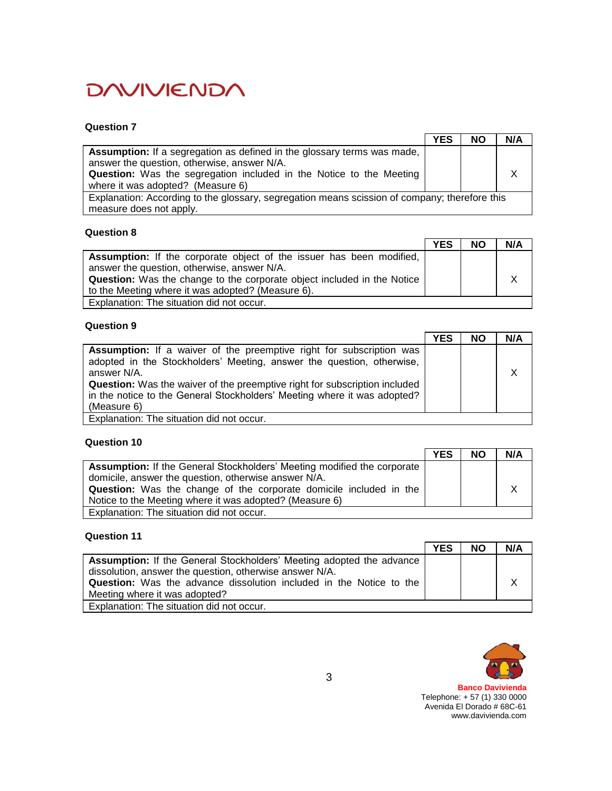### **Question 7**

|                                                                                               | <b>YES</b> | <b>NO</b> | N/A |
|-----------------------------------------------------------------------------------------------|------------|-----------|-----|
| <b>Assumption:</b> If a segregation as defined in the glossary terms was made,                |            |           |     |
| answer the question, otherwise, answer N/A.                                                   |            |           |     |
| Question: Was the segregation included in the Notice to the Meeting                           |            |           |     |
| where it was adopted? (Measure 6)                                                             |            |           |     |
| Explanation: According to the glossary, segregation means scission of company; therefore this |            |           |     |
| measure does not apply.                                                                       |            |           |     |

#### **Question 8**

|                                                                                | <b>YES</b> | <b>NO</b> | N/A |
|--------------------------------------------------------------------------------|------------|-----------|-----|
| Assumption: If the corporate object of the issuer has been modified,           |            |           |     |
| answer the question, otherwise, answer N/A.                                    |            |           |     |
| <b>Question:</b> Was the change to the corporate object included in the Notice |            |           |     |
| to the Meeting where it was adopted? (Measure 6).                              |            |           |     |
| Explanation: The situation did not occur.                                      |            |           |     |

# **Question 9**

|                                                                                   | <b>YES</b> | <b>NO</b> | N/A |
|-----------------------------------------------------------------------------------|------------|-----------|-----|
| <b>Assumption:</b> If a waiver of the preemptive right for subscription was       |            |           |     |
| adopted in the Stockholders' Meeting, answer the question, otherwise,             |            |           |     |
| answer N/A.                                                                       |            |           | X   |
| <b>Question:</b> Was the waiver of the preemptive right for subscription included |            |           |     |
| in the notice to the General Stockholders' Meeting where it was adopted?          |            |           |     |
| (Measure 6)                                                                       |            |           |     |
| Explanation: The situation did not occur.                                         |            |           |     |

### **Question 10**

|                                                                                | <b>YES</b> | <b>NO</b> | N/A |
|--------------------------------------------------------------------------------|------------|-----------|-----|
| <b>Assumption:</b> If the General Stockholders' Meeting modified the corporate |            |           |     |
| domicile, answer the question, otherwise answer N/A.                           |            |           |     |
| <b>Question:</b> Was the change of the corporate domicile included in the      |            |           |     |
| Notice to the Meeting where it was adopted? (Measure 6)                        |            |           |     |
| Explanation: The situation did not occur.                                      |            |           |     |

## **Question 11**

|                                                                            | <b>YES</b> | <b>NO</b> | N/A |
|----------------------------------------------------------------------------|------------|-----------|-----|
| Assumption: If the General Stockholders' Meeting adopted the advance       |            |           |     |
| dissolution, answer the question, otherwise answer N/A.                    |            |           |     |
| <b>Question:</b> Was the advance dissolution included in the Notice to the |            |           |     |
| Meeting where it was adopted?                                              |            |           |     |
| Explanation: The situation did not occur.                                  |            |           |     |

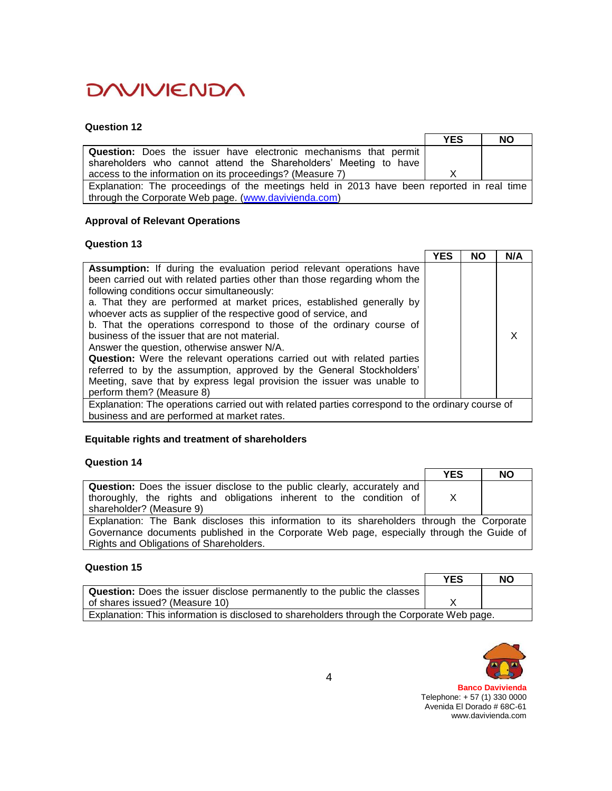## **Question 12**

|                                                                                           | <b>YES</b> | <b>NO</b> |
|-------------------------------------------------------------------------------------------|------------|-----------|
| Question: Does the issuer have electronic mechanisms that permit                          |            |           |
| shareholders who cannot attend the Shareholders' Meeting to have                          |            |           |
| access to the information on its proceedings? (Measure 7)                                 |            |           |
| Explanation: The proceedings of the meetings held in 2013 have been reported in real time |            |           |
| through the Corporate Web page. (www.davivienda.com)                                      |            |           |

# **Approval of Relevant Operations**

### **Question 13**

|                                                                                                                                                                                                                                                                                                                                                                                                                                                                                                                                                                                                                                                                                                                                                                                     | <b>YES</b> | <b>NO</b> | N/A |
|-------------------------------------------------------------------------------------------------------------------------------------------------------------------------------------------------------------------------------------------------------------------------------------------------------------------------------------------------------------------------------------------------------------------------------------------------------------------------------------------------------------------------------------------------------------------------------------------------------------------------------------------------------------------------------------------------------------------------------------------------------------------------------------|------------|-----------|-----|
| Assumption: If during the evaluation period relevant operations have<br>been carried out with related parties other than those regarding whom the<br>following conditions occur simultaneously:<br>a. That they are performed at market prices, established generally by<br>whoever acts as supplier of the respective good of service, and<br>b. That the operations correspond to those of the ordinary course of<br>business of the issuer that are not material.<br>Answer the question, otherwise answer N/A.<br><b>Question:</b> Were the relevant operations carried out with related parties<br>referred to by the assumption, approved by the General Stockholders'<br>Meeting, save that by express legal provision the issuer was unable to<br>perform them? (Measure 8) |            |           |     |
| Explanation: The operations carried out with related parties correspond to the ordinary course of<br>business and are performed at market rates.                                                                                                                                                                                                                                                                                                                                                                                                                                                                                                                                                                                                                                    |            |           |     |

# **Equitable rights and treatment of shareholders**

# **Question 14**

|                                                                                                                                                                                                                                    | <b>YES</b>   | <b>NO</b> |
|------------------------------------------------------------------------------------------------------------------------------------------------------------------------------------------------------------------------------------|--------------|-----------|
| <b>Question:</b> Does the issuer disclose to the public clearly, accurately and<br>thoroughly, the rights and obligations inherent to the condition of<br>shareholder? (Measure 9)                                                 | $\mathsf{X}$ |           |
| Explanation: The Bank discloses this information to its shareholders through the Corporate<br>Governance documents published in the Corporate Web page, especially through the Guide of<br>Rights and Obligations of Shareholders. |              |           |

# **Question 15**

|                                                                                            | <b>YES</b> | NO |
|--------------------------------------------------------------------------------------------|------------|----|
| <b>Question:</b> Does the issuer disclose permanently to the public the classes            |            |    |
| of shares issued? (Measure 10)                                                             |            |    |
| Explanation: This information is disclosed to shareholders through the Corporate Web page. |            |    |

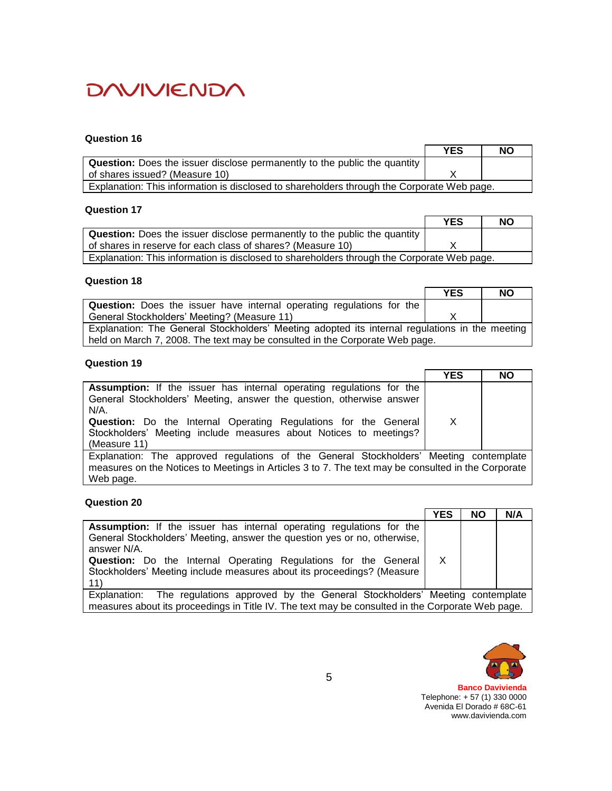## **Question 16**

|                                                                                            | <b>YES</b> | <b>NO</b> |
|--------------------------------------------------------------------------------------------|------------|-----------|
| <b>Question:</b> Does the issuer disclose permanently to the public the quantity           |            |           |
| of shares issued? (Measure 10)                                                             |            |           |
| Explanation: This information is disclosed to shareholders through the Corporate Web page. |            |           |

## **Question 17**

|                                                                                            | <b>YES</b> | <b>NO</b> |
|--------------------------------------------------------------------------------------------|------------|-----------|
| <b>Question:</b> Does the issuer disclose permanently to the public the quantity           |            |           |
| of shares in reserve for each class of shares? (Measure 10)                                |            |           |
| Explanation: This information is disclosed to shareholders through the Corporate Web page. |            |           |

## **Question 18**

|                                                                                                | <b>YES</b> | <b>NO</b> |
|------------------------------------------------------------------------------------------------|------------|-----------|
| <b>Question:</b> Does the issuer have internal operating regulations for the                   |            |           |
| General Stockholders' Meeting? (Measure 11)                                                    |            |           |
| Explanation: The General Stockholders' Meeting adopted its internal regulations in the meeting |            |           |
| held on March 7, 2008. The text may be consulted in the Corporate Web page.                    |            |           |

# **Question 19**

|                                                                                                    | <b>YES</b> | <b>NO</b> |
|----------------------------------------------------------------------------------------------------|------------|-----------|
| <b>Assumption:</b> If the issuer has internal operating regulations for the                        |            |           |
| General Stockholders' Meeting, answer the question, otherwise answer                               |            |           |
| N/A.                                                                                               |            |           |
| <b>Question:</b> Do the Internal Operating Regulations for the General                             | X          |           |
| Stockholders' Meeting include measures about Notices to meetings?                                  |            |           |
| (Measure 11)                                                                                       |            |           |
| Explanation: The approved regulations of the General Stockholders' Meeting contemplate             |            |           |
| measures on the Notices to Meetings in Articles 3 to 7. The text may be consulted in the Corporate |            |           |
| Web page.                                                                                          |            |           |

#### **Question 20**

|                                                                                                                                                                                                                                                                                                                                   | <b>YES</b> | <b>NO</b> | N/A |
|-----------------------------------------------------------------------------------------------------------------------------------------------------------------------------------------------------------------------------------------------------------------------------------------------------------------------------------|------------|-----------|-----|
| <b>Assumption:</b> If the issuer has internal operating regulations for the<br>General Stockholders' Meeting, answer the question yes or no, otherwise,<br>answer N/A.<br><b>Question:</b> Do the Internal Operating Regulations for the General<br>Stockholders' Meeting include measures about its proceedings? (Measure<br>11) | X          |           |     |
| Explanation: The regulations approved by the General Stockholders' Meeting contemplate                                                                                                                                                                                                                                            |            |           |     |
| measures about its proceedings in Title IV. The text may be consulted in the Corporate Web page.                                                                                                                                                                                                                                  |            |           |     |



 $\overline{\phantom{0}}$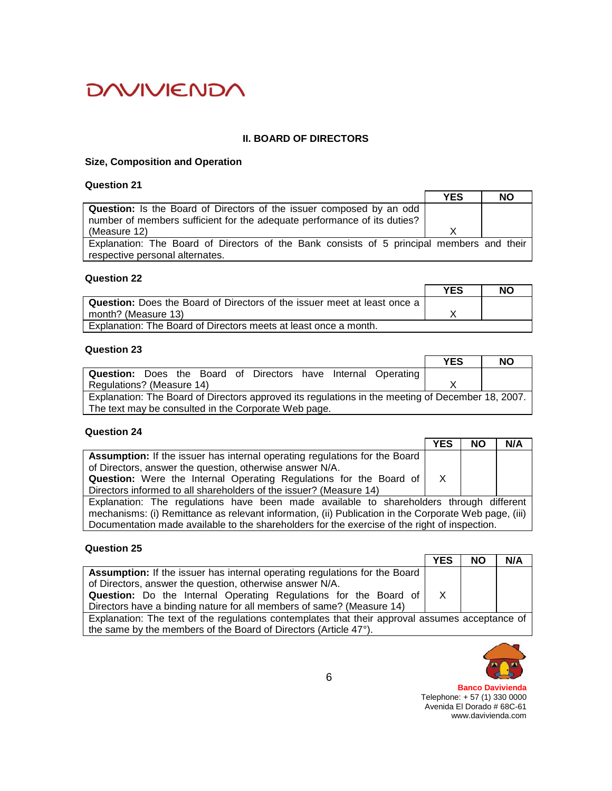# **II. BOARD OF DIRECTORS**

## **Size, Composition and Operation**

# **Question 21**

|                                                                                           | <b>YES</b> | <b>NO</b> |
|-------------------------------------------------------------------------------------------|------------|-----------|
| Question: Is the Board of Directors of the issuer composed by an odd                      |            |           |
| number of members sufficient for the adequate performance of its duties?                  |            |           |
| (Measure 12)                                                                              |            |           |
| Explanation: The Board of Directors of the Bank consists of 5 principal members and their |            |           |
| respective personal alternates.                                                           |            |           |

### **Question 22**

|                                                                                 | YES | NO |
|---------------------------------------------------------------------------------|-----|----|
| <b>Question:</b> Does the Board of Directors of the issuer meet at least once a |     |    |
| month? (Measure 13)                                                             |     |    |
| Explanation: The Board of Directors meets at least once a month.                |     |    |

# **Question 23**

|                                                                                                   | <b>YES</b> | NΟ |  |  |
|---------------------------------------------------------------------------------------------------|------------|----|--|--|
| <b>Question:</b> Does the Board of Directors have Internal Operating                              |            |    |  |  |
| Regulations? (Measure 14)                                                                         |            |    |  |  |
| Explanation: The Board of Directors approved its regulations in the meeting of December 18, 2007. |            |    |  |  |
| The text may be consulted in the Corporate Web page.                                              |            |    |  |  |

# **Question 24**

|                                                                                                       | YES          | <b>NO</b> | N/A |
|-------------------------------------------------------------------------------------------------------|--------------|-----------|-----|
| <b>Assumption:</b> If the issuer has internal operating regulations for the Board                     |              |           |     |
| of Directors, answer the question, otherwise answer N/A.                                              |              |           |     |
| <b>Question:</b> Were the Internal Operating Regulations for the Board of                             | $\mathsf{X}$ |           |     |
| Directors informed to all shareholders of the issuer? (Measure 14)                                    |              |           |     |
| Explanation: The regulations have been made available to shareholders through different               |              |           |     |
| mechanisms: (i) Remittance as relevant information, (ii) Publication in the Corporate Web page, (iii) |              |           |     |
| Documentation made available to the shareholders for the exercise of the right of inspection.         |              |           |     |

# **Question 25**

|                                                                                                 | <b>YES</b> | ΝO | N/A |
|-------------------------------------------------------------------------------------------------|------------|----|-----|
| Assumption: If the issuer has internal operating regulations for the Board                      |            |    |     |
| of Directors, answer the question, otherwise answer N/A.                                        |            |    |     |
| <b>Question:</b> Do the Internal Operating Regulations for the Board of                         |            |    |     |
| Directors have a binding nature for all members of same? (Measure 14)                           |            |    |     |
| Explanation: The text of the regulations contemplates that their approval assumes acceptance of |            |    |     |
| the same by the members of the Board of Directors (Article 47°).                                |            |    |     |

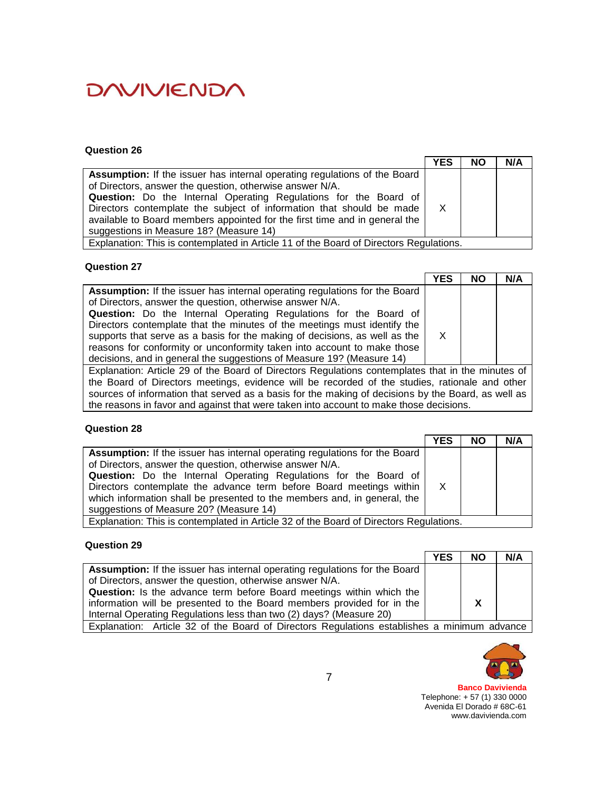#### **Question 26**

|                                                                                        | <b>YES</b>   | <b>NO</b> | N/A |
|----------------------------------------------------------------------------------------|--------------|-----------|-----|
| <b>Assumption:</b> If the issuer has internal operating regulations of the Board       |              |           |     |
| of Directors, answer the question, otherwise answer N/A.                               |              |           |     |
| Question: Do the Internal Operating Regulations for the Board of                       |              |           |     |
| Directors contemplate the subject of information that should be made                   | $\mathsf{X}$ |           |     |
| available to Board members appointed for the first time and in general the             |              |           |     |
| suggestions in Measure 18? (Measure 14)                                                |              |           |     |
| Explanation: This is contemplated in Article 11 of the Board of Directors Regulations. |              |           |     |

### **Question 27**

|                                                                                                   | <b>YES</b>   | ΝO | N/A |
|---------------------------------------------------------------------------------------------------|--------------|----|-----|
| <b>Assumption:</b> If the issuer has internal operating regulations for the Board                 |              |    |     |
| of Directors, answer the question, otherwise answer N/A.                                          |              |    |     |
| Question: Do the Internal Operating Regulations for the Board of                                  |              |    |     |
| Directors contemplate that the minutes of the meetings must identify the                          |              |    |     |
| supports that serve as a basis for the making of decisions, as well as the                        | $\mathsf{X}$ |    |     |
| reasons for conformity or unconformity taken into account to make those                           |              |    |     |
| decisions, and in general the suggestions of Measure 19? (Measure 14)                             |              |    |     |
| Explanation: Article 29 of the Board of Directors Regulations contemplates that in the minutes of |              |    |     |
| the Board of Directors meetings, evidence will be recorded of the studies, rationale and other    |              |    |     |

sources of information that served as a basis for the making of decisions by the Board, as well as the reasons in favor and against that were taken into account to make those decisions.

## **Question 28**

|                                                                                                                                                 | <b>YES</b>   | <b>NO</b> | N/A |
|-------------------------------------------------------------------------------------------------------------------------------------------------|--------------|-----------|-----|
| Assumption: If the issuer has internal operating regulations for the Board<br>of Directors, answer the question, otherwise answer N/A.          |              |           |     |
| Question: Do the Internal Operating Regulations for the Board of                                                                                |              |           |     |
| Directors contemplate the advance term before Board meetings within<br>which information shall be presented to the members and, in general, the | $\mathsf{X}$ |           |     |
| suggestions of Measure 20? (Measure 14)                                                                                                         |              |           |     |
| Explanation: This is contemplated in Article 32 of the Board of Directors Regulations.                                                          |              |           |     |

## **Question 29**

|                                                                                             | <b>YES</b> | <b>NO</b>    | N/A |
|---------------------------------------------------------------------------------------------|------------|--------------|-----|
| Assumption: If the issuer has internal operating regulations for the Board                  |            |              |     |
| of Directors, answer the question, otherwise answer N/A.                                    |            |              |     |
| <b>Question:</b> Is the advance term before Board meetings within which the                 |            |              |     |
| information will be presented to the Board members provided for in the                      |            | $\mathsf{X}$ |     |
| Internal Operating Regulations less than two (2) days? (Measure 20)                         |            |              |     |
| Explanation: Article 32 of the Board of Directors Regulations establishes a minimum advance |            |              |     |

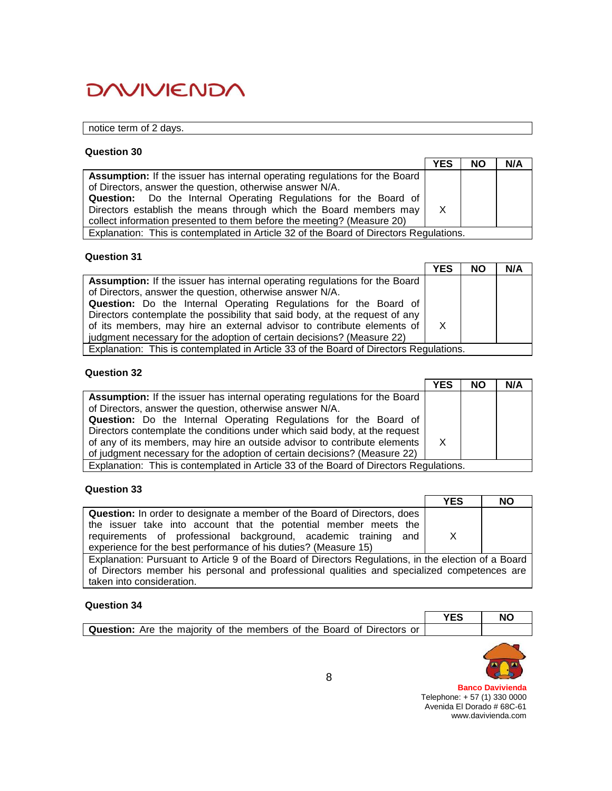# notice term of 2 days.

#### **Question 30**

|                                                                                        | <b>YES</b> | <b>NO</b> | N/A |
|----------------------------------------------------------------------------------------|------------|-----------|-----|
| <b>Assumption:</b> If the issuer has internal operating regulations for the Board      |            |           |     |
| of Directors, answer the question, otherwise answer N/A.                               |            |           |     |
| Question: Do the Internal Operating Regulations for the Board of                       |            |           |     |
| Directors establish the means through which the Board members may                      | X          |           |     |
| collect information presented to them before the meeting? (Measure 20)                 |            |           |     |
| Explanation: This is contemplated in Article 32 of the Board of Directors Regulations. |            |           |     |

#### **Question 31**

|                                                                                        | <b>YES</b> | <b>NO</b> | N/A |
|----------------------------------------------------------------------------------------|------------|-----------|-----|
| <b>Assumption:</b> If the issuer has internal operating regulations for the Board      |            |           |     |
| of Directors, answer the question, otherwise answer N/A.                               |            |           |     |
| <b>Question:</b> Do the Internal Operating Regulations for the Board of                |            |           |     |
| Directors contemplate the possibility that said body, at the request of any            |            |           |     |
| of its members, may hire an external advisor to contribute elements of                 | X          |           |     |
| judgment necessary for the adoption of certain decisions? (Measure 22)                 |            |           |     |
| Explanation: This is contemplated in Article 33 of the Board of Directors Regulations. |            |           |     |

#### **Question 32**

|                                                                                        | <b>YES</b>   | <b>NO</b> | N/A |
|----------------------------------------------------------------------------------------|--------------|-----------|-----|
| Assumption: If the issuer has internal operating regulations for the Board             |              |           |     |
| of Directors, answer the question, otherwise answer N/A.                               |              |           |     |
| Question: Do the Internal Operating Regulations for the Board of                       |              |           |     |
| Directors contemplate the conditions under which said body, at the request             |              |           |     |
| of any of its members, may hire an outside advisor to contribute elements              | $\mathsf{X}$ |           |     |
| of judgment necessary for the adoption of certain decisions? (Measure 22)              |              |           |     |
| Explanation: This is contemplated in Article 33 of the Board of Directors Regulations. |              |           |     |

## **Question 33**

|                                                                                                                                    | <b>YES</b> | <b>NO</b> |
|------------------------------------------------------------------------------------------------------------------------------------|------------|-----------|
| <b>Question:</b> In order to designate a member of the Board of Directors, does                                                    |            |           |
| the issuer take into account that the potential member meets the<br>requirements of professional background, academic training and | X          |           |
| experience for the best performance of his duties? (Measure 15)                                                                    |            |           |
| Explanation: Pursuant to Article 9 of the Board of Directors Regulations, in the election of a Board                               |            |           |
| of Directors member his personal and professional qualities and specialized competences are                                        |            |           |
| taken into consideration.                                                                                                          |            |           |

#### **Question 34**

| -------------                                                                 | NC |
|-------------------------------------------------------------------------------|----|
| <b>Question:</b> Are the majority of the members of the Board of Directors or |    |
|                                                                               |    |

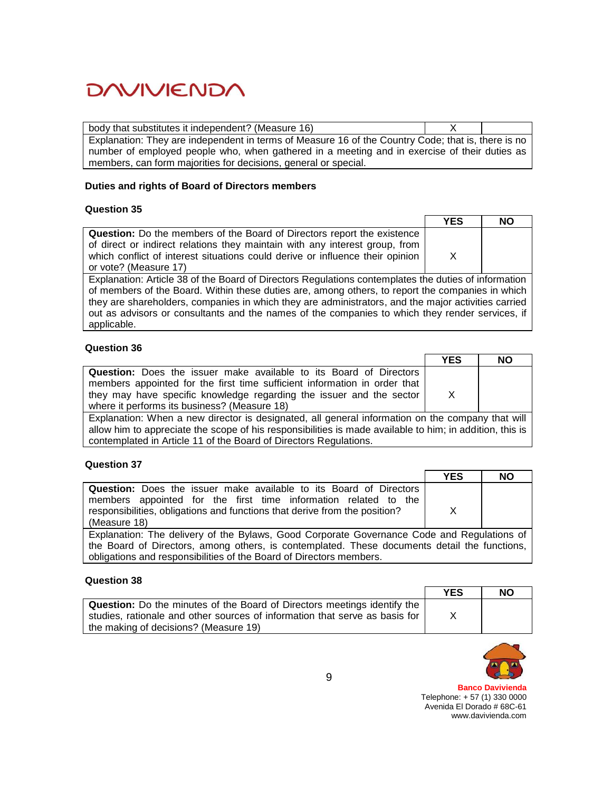| body that substitutes it independent? (Measure 16)                                                 |  |
|----------------------------------------------------------------------------------------------------|--|
| Explanation: They are independent in terms of Measure 16 of the Country Code; that is, there is no |  |
| number of employed people who, when gathered in a meeting and in exercise of their duties as       |  |
| members, can form majorities for decisions, general or special.                                    |  |

### **Duties and rights of Board of Directors members**

### **Question 35**

| NΟ                                                                                                   |
|------------------------------------------------------------------------------------------------------|
|                                                                                                      |
|                                                                                                      |
|                                                                                                      |
|                                                                                                      |
| Explanation: Article 38 of the Board of Directors Regulations contemplates the duties of information |
| of members of the Board. Within these duties are, among others, to report the companies in which     |
| they are shareholders, companies in which they are administrators, and the major activities carried  |
| out as advisors or consultants and the names of the companies to which they render services, if      |
|                                                                                                      |
|                                                                                                      |

# **Question 36**

|                                                                                                  | <b>YES</b> | <b>NO</b> |
|--------------------------------------------------------------------------------------------------|------------|-----------|
| <b>Question:</b> Does the issuer make available to its Board of Directors                        |            |           |
| members appointed for the first time sufficient information in order that                        |            |           |
| they may have specific knowledge regarding the issuer and the sector                             | X          |           |
| where it performs its business? (Measure 18)                                                     |            |           |
| Explanation: When a new director is designated, all general information on the company that will |            |           |

allow him to appreciate the scope of his responsibilities is made available to him; in addition, this is contemplated in Article 11 of the Board of Directors Regulations.

## **Question 37**

|                                                                                            | <b>YES</b> | <b>NO</b> |
|--------------------------------------------------------------------------------------------|------------|-----------|
| <b>Question:</b> Does the issuer make available to its Board of Directors                  |            |           |
| members appointed for the first time information related to the                            |            |           |
| responsibilities, obligations and functions that derive from the position?                 | x          |           |
| (Measure 18)                                                                               |            |           |
| Explanation: The delivery of the Bylaws, Good Corporate Governance Code and Regulations of |            |           |
| the Roard of Directors, among others is contemplated. These documents detail the functions |            |           |

the Board of Directors, among others, is contemplated. These documents detail the functions, obligations and responsibilities of the Board of Directors members.

#### **Question 38**

|                                                                                 | <b>YES</b> | NΟ |
|---------------------------------------------------------------------------------|------------|----|
| <b>Question:</b> Do the minutes of the Board of Directors meetings identify the |            |    |
| studies, rationale and other sources of information that serve as basis for     |            |    |
| the making of decisions? (Measure 19)                                           |            |    |

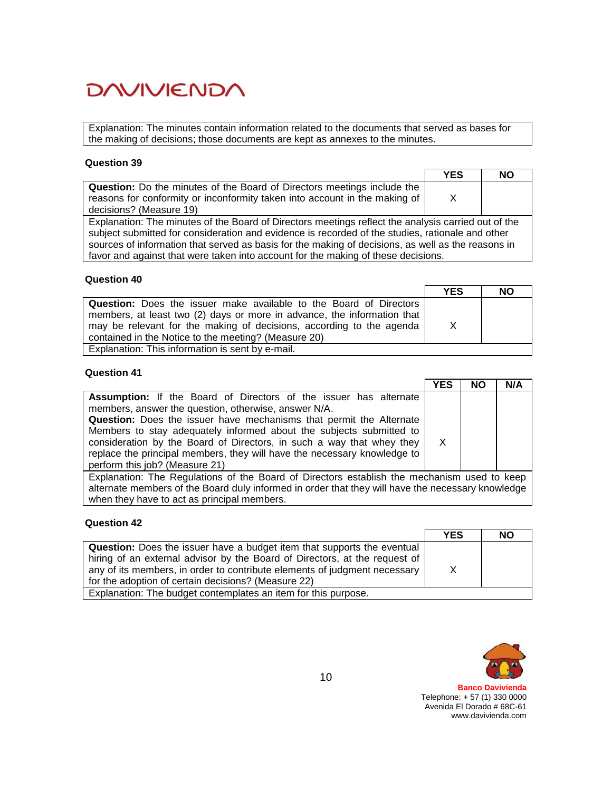Explanation: The minutes contain information related to the documents that served as bases for the making of decisions; those documents are kept as annexes to the minutes.

### **Question 39**

|                                                                                                                                                                                                                                                                                                                                                                                                    | <b>YES</b> | <b>NO</b> |
|----------------------------------------------------------------------------------------------------------------------------------------------------------------------------------------------------------------------------------------------------------------------------------------------------------------------------------------------------------------------------------------------------|------------|-----------|
| <b>Question:</b> Do the minutes of the Board of Directors meetings include the<br>reasons for conformity or inconformity taken into account in the making of<br>decisions? (Measure 19)                                                                                                                                                                                                            | X          |           |
| Explanation: The minutes of the Board of Directors meetings reflect the analysis carried out of the<br>subject submitted for consideration and evidence is recorded of the studies, rationale and other<br>sources of information that served as basis for the making of decisions, as well as the reasons in<br>favor and against that were taken into account for the making of these decisions. |            |           |

#### **Question 40**

|                                                                           | <b>YES</b> | <b>NO</b> |
|---------------------------------------------------------------------------|------------|-----------|
| <b>Question:</b> Does the issuer make available to the Board of Directors |            |           |
| members, at least two (2) days or more in advance, the information that   |            |           |
| may be relevant for the making of decisions, according to the agenda      | X          |           |
| contained in the Notice to the meeting? (Measure 20)                      |            |           |
| Explanation: This information is sent by e-mail.                          |            |           |

#### **Question 41**

|                                                                                                   | YES | <b>NO</b> | N/A |
|---------------------------------------------------------------------------------------------------|-----|-----------|-----|
| Assumption: If the Board of Directors of the issuer has alternate                                 |     |           |     |
| members, answer the question, otherwise, answer N/A.                                              |     |           |     |
| Question: Does the issuer have mechanisms that permit the Alternate                               |     |           |     |
| Members to stay adequately informed about the subjects submitted to                               |     |           |     |
| consideration by the Board of Directors, in such a way that whey they                             | X   |           |     |
| replace the principal members, they will have the necessary knowledge to                          |     |           |     |
| perform this job? (Measure 21)                                                                    |     |           |     |
| Explanation: The Regulations of the Board of Directors establish the mechanism used to keep       |     |           |     |
| alternate members of the Board duly informed in order that they will have the necessary knowledge |     |           |     |
| when they have to act as principal members.                                                       |     |           |     |

# **Question 42**

|                                                                                | <b>YES</b> | <b>NO</b> |
|--------------------------------------------------------------------------------|------------|-----------|
| <b>Question:</b> Does the issuer have a budget item that supports the eventual |            |           |
| hiring of an external advisor by the Board of Directors, at the request of     |            |           |
| any of its members, in order to contribute elements of judgment necessary      | X          |           |
| for the adoption of certain decisions? (Measure 22)                            |            |           |
| Explanation: The budget contemplates an item for this purpose.                 |            |           |

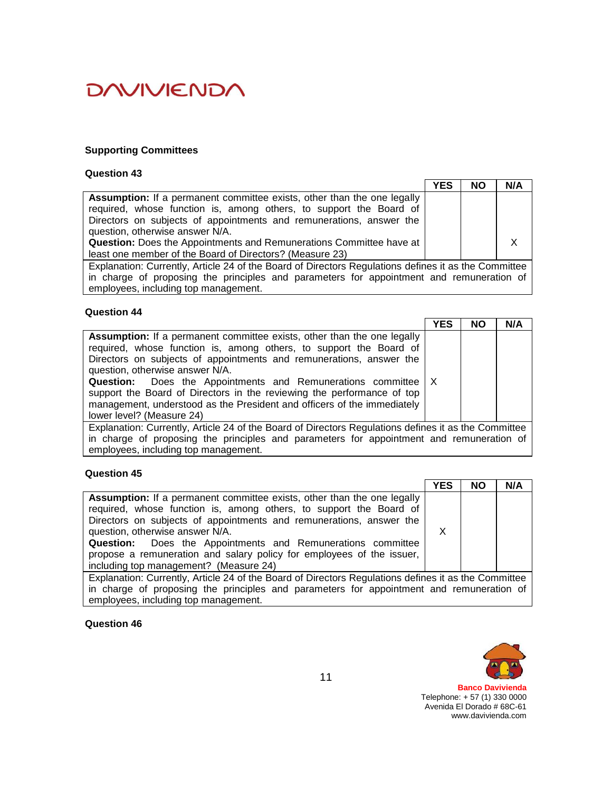### **Supporting Committees**

### **Question 43**

|                                                                                                      | <b>YES</b> | <b>NO</b> | N/A |
|------------------------------------------------------------------------------------------------------|------------|-----------|-----|
| <b>Assumption:</b> If a permanent committee exists, other than the one legally                       |            |           |     |
| required, whose function is, among others, to support the Board of                                   |            |           |     |
| Directors on subjects of appointments and remunerations, answer the                                  |            |           |     |
| question, otherwise answer N/A.                                                                      |            |           |     |
| <b>Question:</b> Does the Appointments and Remunerations Committee have at                           |            |           |     |
| least one member of the Board of Directors? (Measure 23)                                             |            |           |     |
| Explanation: Currently, Article 24 of the Board of Directors Regulations defines it as the Committee |            |           |     |
| in charge of proposing the principles and parameters for appointment and remuneration of             |            |           |     |
| employees, including top management.                                                                 |            |           |     |

#### **Question 44**

|                                                                                                                                                                                                                                                                                                                                                                                                                                                                                                                     | <b>YES</b> | <b>NO</b> | N/A |
|---------------------------------------------------------------------------------------------------------------------------------------------------------------------------------------------------------------------------------------------------------------------------------------------------------------------------------------------------------------------------------------------------------------------------------------------------------------------------------------------------------------------|------------|-----------|-----|
| Assumption: If a permanent committee exists, other than the one legally<br>required, whose function is, among others, to support the Board of<br>Directors on subjects of appointments and remunerations, answer the<br>question, otherwise answer N/A.<br><b>Question:</b> Does the Appointments and Remunerations committee   X<br>support the Board of Directors in the reviewing the performance of top<br>management, understood as the President and officers of the immediately<br>lower level? (Measure 24) |            |           |     |
| Explanation: Currently, Article 24 of the Board of Directors Regulations defines it as the Committee                                                                                                                                                                                                                                                                                                                                                                                                                |            |           |     |
| in charge of proposing the principles and parameters for appointment and remuneration of                                                                                                                                                                                                                                                                                                                                                                                                                            |            |           |     |
| employees, including top management.                                                                                                                                                                                                                                                                                                                                                                                                                                                                                |            |           |     |

## **Question 45**

|                                                                                                      | <b>YES</b> | <b>NO</b> | N/A |
|------------------------------------------------------------------------------------------------------|------------|-----------|-----|
| <b>Assumption:</b> If a permanent committee exists, other than the one legally                       |            |           |     |
| required, whose function is, among others, to support the Board of                                   |            |           |     |
| Directors on subjects of appointments and remunerations, answer the                                  |            |           |     |
| question, otherwise answer N/A.                                                                      |            |           |     |
| <b>Question:</b> Does the Appointments and Remunerations committee                                   |            |           |     |
| propose a remuneration and salary policy for employees of the issuer,                                |            |           |     |
| including top management? (Measure 24)                                                               |            |           |     |
| Evalopation: Currently, Article 24 of the Beerd of Directors Bequietions defines it as the Committee |            |           |     |

Explanation: Currently, Article 24 of the Board of Directors Regulations defines it as the Committee in charge of proposing the principles and parameters for appointment and remuneration of employees, including top management.

**Question 46**

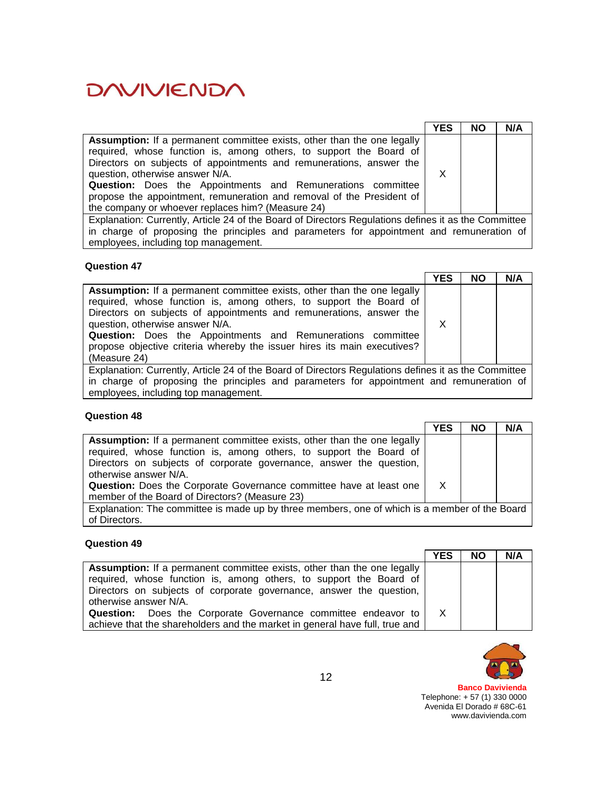|                                                                                                                                                                                                                                                                                                                                                                                                                                                                    | <b>YES</b> | <b>NO</b> | N/A |
|--------------------------------------------------------------------------------------------------------------------------------------------------------------------------------------------------------------------------------------------------------------------------------------------------------------------------------------------------------------------------------------------------------------------------------------------------------------------|------------|-----------|-----|
| <b>Assumption:</b> If a permanent committee exists, other than the one legally<br>required, whose function is, among others, to support the Board of<br>Directors on subjects of appointments and remunerations, answer the<br>question, otherwise answer N/A.<br><b>Question:</b> Does the Appointments and Remunerations committee<br>propose the appointment, remuneration and removal of the President of<br>the company or whoever replaces him? (Measure 24) | X          |           |     |
| Explanation: Currently, Article 24 of the Board of Directors Regulations defines it as the Committee                                                                                                                                                                                                                                                                                                                                                               |            |           |     |
| in charge of proposing the principles and parameters for appointment and remuneration of                                                                                                                                                                                                                                                                                                                                                                           |            |           |     |
| employees, including top management.                                                                                                                                                                                                                                                                                                                                                                                                                               |            |           |     |

### **Question 47**

|                                                                                                                                                                                                                                                                                                                                                                                                                    | <b>YES</b> | <b>NO</b> | N/A |
|--------------------------------------------------------------------------------------------------------------------------------------------------------------------------------------------------------------------------------------------------------------------------------------------------------------------------------------------------------------------------------------------------------------------|------------|-----------|-----|
| Assumption: If a permanent committee exists, other than the one legally<br>required, whose function is, among others, to support the Board of<br>Directors on subjects of appointments and remunerations, answer the<br>question, otherwise answer N/A.<br>Question: Does the Appointments and Remunerations committee<br>propose objective criteria whereby the issuer hires its main executives?<br>(Measure 24) |            |           |     |
| Explanation: Currently, Article 24 of the Board of Directors Regulations defines it as the Committee                                                                                                                                                                                                                                                                                                               |            |           |     |
| in charge of proposing the principles and parameters for appointment and remuneration of<br>employees, including top management.                                                                                                                                                                                                                                                                                   |            |           |     |

## **Question 48**

| YES | <b>NO</b> | N/A                                                                                           |
|-----|-----------|-----------------------------------------------------------------------------------------------|
|     |           |                                                                                               |
|     |           |                                                                                               |
|     |           |                                                                                               |
|     |           |                                                                                               |
| X   |           |                                                                                               |
|     |           |                                                                                               |
|     |           |                                                                                               |
|     |           |                                                                                               |
|     |           | Explanation: The committee is made up by three members, one of which is a member of the Board |

# **Question 49**

|                                                                                | <b>YES</b> | <b>NO</b> | N/A |
|--------------------------------------------------------------------------------|------------|-----------|-----|
| <b>Assumption:</b> If a permanent committee exists, other than the one legally |            |           |     |
| required, whose function is, among others, to support the Board of             |            |           |     |
| Directors on subjects of corporate governance, answer the question,            |            |           |     |
| otherwise answer N/A.                                                          |            |           |     |
| <b>Question:</b> Does the Corporate Governance committee endeavor to           |            |           |     |
| achieve that the shareholders and the market in general have full, true and    |            |           |     |

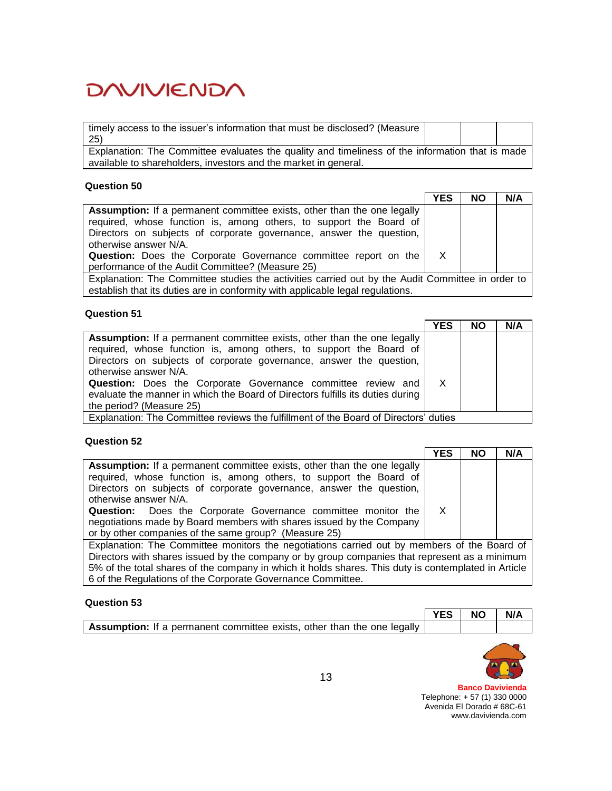| timely access to the issuer's information that must be disclosed? (Measure                      |  |  |
|-------------------------------------------------------------------------------------------------|--|--|
| 25)                                                                                             |  |  |
| Explanation: The Committee evaluates the quality and timeliness of the information that is made |  |  |
| available to shareholders, investors and the market in general.                                 |  |  |

#### **Question 50**

|                                                                                                  | <b>YES</b>   | <b>NO</b> | N/A |
|--------------------------------------------------------------------------------------------------|--------------|-----------|-----|
| Assumption: If a permanent committee exists, other than the one legally                          |              |           |     |
| required, whose function is, among others, to support the Board of                               |              |           |     |
| Directors on subjects of corporate governance, answer the question,                              |              |           |     |
| otherwise answer N/A.                                                                            |              |           |     |
| <b>Question:</b> Does the Corporate Governance committee report on the                           | $\mathsf{X}$ |           |     |
| performance of the Audit Committee? (Measure 25)                                                 |              |           |     |
| Explanation: The Committee studies the activities carried out by the Audit Committee in order to |              |           |     |
| establish that its duties are in conformity with applicable legal regulations.                   |              |           |     |

#### **Question 51**

|                                                                                                                                                                                                                      | <b>YES</b> | <b>NO</b> | N/A |
|----------------------------------------------------------------------------------------------------------------------------------------------------------------------------------------------------------------------|------------|-----------|-----|
| Assumption: If a permanent committee exists, other than the one legally<br>required, whose function is, among others, to support the Board of<br>Directors on subjects of corporate governance, answer the question, |            |           |     |
| otherwise answer N/A.<br><b>Question:</b> Does the Corporate Governance committee review and                                                                                                                         | $\times$   |           |     |
| evaluate the manner in which the Board of Directors fulfills its duties during<br>the period? (Measure 25)                                                                                                           |            |           |     |
| Explanation: The Committee reviews the fulfillment of the Board of Directors' duties                                                                                                                                 |            |           |     |

#### **Question 52**

|                                                                                                                                                      | YES | <b>NO</b> | N/A |
|------------------------------------------------------------------------------------------------------------------------------------------------------|-----|-----------|-----|
| <b>Assumption:</b> If a permanent committee exists, other than the one legally<br>required, whose function is, among others, to support the Board of |     |           |     |
| Directors on subjects of corporate governance, answer the question,<br>otherwise answer N/A.                                                         |     |           |     |
| Question: Does the Corporate Governance committee monitor the<br>negotiations made by Board members with shares issued by the Company                | X   |           |     |
| or by other companies of the same group? (Measure 25)                                                                                                |     |           |     |
| Evalopation: The Committee menitors the possibilizer certied out by members of the Poerd of                                                          |     |           |     |

Explanation: The Committee monitors the negotiations carried out by members of the Board of Directors with shares issued by the company or by group companies that represent as a minimum 5% of the total shares of the company in which it holds shares. This duty is contemplated in Article 6 of the Regulations of the Corporate Governance Committee.

#### **Question 53**

|                                                                                | YES   NO | N/A |
|--------------------------------------------------------------------------------|----------|-----|
| <b>Assumption:</b> If a permanent committee exists, other than the one legally |          |     |

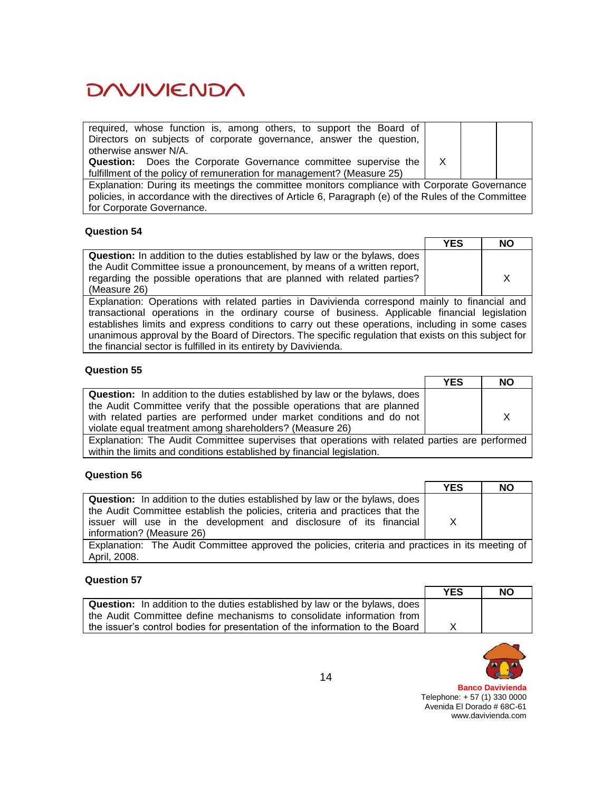| required, whose function is, among others, to support the Board of     |  |  |
|------------------------------------------------------------------------|--|--|
| Directors on subjects of corporate governance, answer the question,    |  |  |
| otherwise answer N/A.                                                  |  |  |
| <b>Question:</b> Does the Corporate Governance committee supervise the |  |  |
| fulfillment of the policy of remuneration for management? (Measure 25) |  |  |

Explanation: During its meetings the committee monitors compliance with Corporate Governance policies, in accordance with the directives of Article 6, Paragraph (e) of the Rules of the Committee for Corporate Governance.

## **Question 54**

|                                                                                   | <b>YES</b> | <b>NO</b> |
|-----------------------------------------------------------------------------------|------------|-----------|
| <b>Question:</b> In addition to the duties established by law or the bylaws, does |            |           |
| the Audit Committee issue a pronouncement, by means of a written report,          |            |           |
| regarding the possible operations that are planned with related parties?          |            |           |
| (Measure 26)                                                                      |            |           |

Explanation: Operations with related parties in Davivienda correspond mainly to financial and transactional operations in the ordinary course of business. Applicable financial legislation establishes limits and express conditions to carry out these operations, including in some cases unanimous approval by the Board of Directors. The specific regulation that exists on this subject for the financial sector is fulfilled in its entirety by Davivienda.

## **Question 55**

|                                                                                                | <b>YES</b> | <b>NO</b> |
|------------------------------------------------------------------------------------------------|------------|-----------|
| <b>Question:</b> In addition to the duties established by law or the bylaws, does              |            |           |
| the Audit Committee verify that the possible operations that are planned                       |            |           |
| with related parties are performed under market conditions and do not                          |            | X         |
| violate equal treatment among shareholders? (Measure 26)                                       |            |           |
| Explanation: The Audit Committee supervises that operations with related parties are performed |            |           |
| within the limits and conditions established by financial legislation.                         |            |           |

#### **Question 56**

|                                                                                                  | <b>YES</b> | <b>NO</b> |
|--------------------------------------------------------------------------------------------------|------------|-----------|
| <b>Question:</b> In addition to the duties established by law or the bylaws, does                |            |           |
| the Audit Committee establish the policies, criteria and practices that the                      |            |           |
| issuer will use in the development and disclosure of its financial                               | $\times$   |           |
| information? (Measure 26)                                                                        |            |           |
| Explanation: The Audit Committee approved the policies, criteria and practices in its meeting of |            |           |
| April, 2008.                                                                                     |            |           |

## **Question 57**

|                                                                                   | <b>YES</b> | NΟ |
|-----------------------------------------------------------------------------------|------------|----|
| <b>Question:</b> In addition to the duties established by law or the bylaws, does |            |    |
| the Audit Committee define mechanisms to consolidate information from             |            |    |
| the issuer's control bodies for presentation of the information to the Board      |            |    |

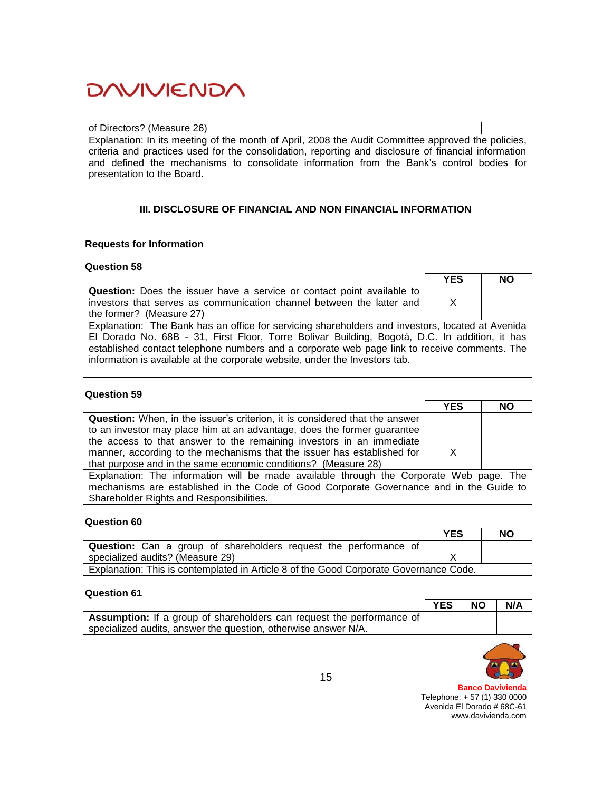of Directors? (Measure 26) Explanation: In its meeting of the month of April, 2008 the Audit Committee approved the policies, criteria and practices used for the consolidation, reporting and disclosure of financial information and defined the mechanisms to consolidate information from the Bank's control bodies for presentation to the Board.

# **III. DISCLOSURE OF FINANCIAL AND NON FINANCIAL INFORMATION**

### **Requests for Information**

### **Question 58**

|                                                                                                  | <b>YES</b> | <b>NO</b> |
|--------------------------------------------------------------------------------------------------|------------|-----------|
| <b>Question:</b> Does the issuer have a service or contact point available to                    |            |           |
| investors that serves as communication channel between the latter and                            | X          |           |
| the former? (Measure 27)                                                                         |            |           |
| Explanation: The Bank has an office for servicing shareholders and investors, located at Avenida |            |           |
| El Dorado No. 68B - 31, First Floor, Torre Bolívar Building, Bogotá, D.C. In addition, it has    |            |           |
| established contact telephone numbers and a corporate web page link to receive comments. The     |            |           |
| information is available at the corporate website, under the Investors tab.                      |            |           |

#### **Question 59**

|                                                                                         | <b>YES</b> | <b>NO</b> |
|-----------------------------------------------------------------------------------------|------------|-----------|
| <b>Question:</b> When, in the issuer's criterion, it is considered that the answer      |            |           |
| to an investor may place him at an advantage, does the former guarantee                 |            |           |
| the access to that answer to the remaining investors in an immediate                    |            |           |
| manner, according to the mechanisms that the issuer has established for                 | X          |           |
| that purpose and in the same economic conditions? (Measure 28)                          |            |           |
| Explanation: The information will be made available through the Corporate Web page. The |            |           |
| mechanisms are established in the Code of Good Corporate Governance and in the Guide to |            |           |
| Shareholder Rights and Responsibilities.                                                |            |           |

#### **Question 60**

|                                                                                       | <b>YES</b> | <b>NO</b> |
|---------------------------------------------------------------------------------------|------------|-----------|
| <b>Question:</b> Can a group of shareholders request the performance of               |            |           |
| specialized audits? (Measure 29)                                                      |            |           |
| Explanation: This is contemplated in Article 8 of the Good Corporate Governance Code. |            |           |

### **Question 61**

|                                                                              | <b>YES</b> | <b>NO</b> | N/A |
|------------------------------------------------------------------------------|------------|-----------|-----|
| <b>Assumption:</b> If a group of shareholders can request the performance of |            |           |     |
| specialized audits, answer the question, otherwise answer N/A.               |            |           |     |

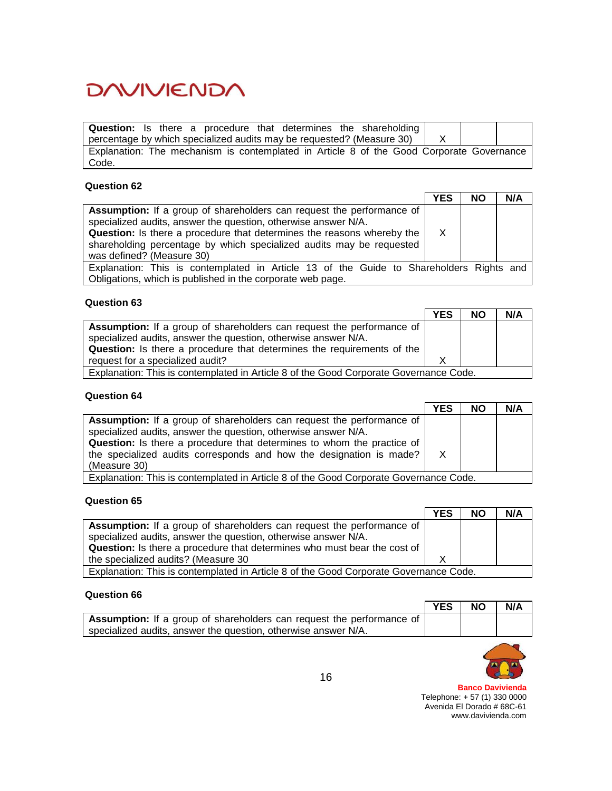**Question:** Is there a procedure that determines the shareholding percentage by which specialized audits may be requested? (Measure 30)  $\overrightarrow{X}$ Explanation: The mechanism is contemplated in Article 8 of the Good Corporate Governance Code.

### **Question 62**

|                                                                                         | <b>YES</b> | <b>NO</b> | N/A |
|-----------------------------------------------------------------------------------------|------------|-----------|-----|
| Assumption: If a group of shareholders can request the performance of                   |            |           |     |
| specialized audits, answer the question, otherwise answer N/A.                          |            |           |     |
| <b>Question:</b> Is there a procedure that determines the reasons whereby the           | X          |           |     |
| shareholding percentage by which specialized audits may be requested                    |            |           |     |
| was defined? (Measure 30)                                                               |            |           |     |
| Explanation: This is contemplated in Article 13 of the Guide to Shareholders Rights and |            |           |     |
| Obligations, which is published in the corporate web page.                              |            |           |     |

## **Question 63**

|                                                                                       | <b>YES</b> | <b>NO</b> | N/A |  |  |  |
|---------------------------------------------------------------------------------------|------------|-----------|-----|--|--|--|
| <b>Assumption:</b> If a group of shareholders can request the performance of          |            |           |     |  |  |  |
| specialized audits, answer the question, otherwise answer N/A.                        |            |           |     |  |  |  |
| <b>Question:</b> Is there a procedure that determines the requirements of the         |            |           |     |  |  |  |
| request for a specialized audit?                                                      |            |           |     |  |  |  |
| Explanation: This is contemplated in Article 8 of the Good Corporate Governance Code. |            |           |     |  |  |  |

## **Question 64**

|                                                                                       | <b>YES</b> | <b>NO</b> | N/A |  |  |
|---------------------------------------------------------------------------------------|------------|-----------|-----|--|--|
| <b>Assumption:</b> If a group of shareholders can request the performance of          |            |           |     |  |  |
| specialized audits, answer the question, otherwise answer N/A.                        |            |           |     |  |  |
| <b>Question:</b> Is there a procedure that determines to whom the practice of         |            |           |     |  |  |
| the specialized audits corresponds and how the designation is made? $\vert$ X         |            |           |     |  |  |
| (Measure 30)                                                                          |            |           |     |  |  |
| Explanation: This is contemplated in Article 8 of the Good Corporate Governance Code. |            |           |     |  |  |

## **Question 65**

|                                                                                       | <b>YES</b> | <b>NO</b> | N/A |  |  |
|---------------------------------------------------------------------------------------|------------|-----------|-----|--|--|
| <b>Assumption:</b> If a group of shareholders can request the performance of          |            |           |     |  |  |
| specialized audits, answer the question, otherwise answer N/A.                        |            |           |     |  |  |
| <b>Question:</b> Is there a procedure that determines who must bear the cost of       |            |           |     |  |  |
| the specialized audits? (Measure 30                                                   |            |           |     |  |  |
| Explanation: This is contemplated in Article 8 of the Good Corporate Governance Code. |            |           |     |  |  |

#### **Question 66**

|                                                                                    | <b>YES</b> | <b>NO</b> | N/A |
|------------------------------------------------------------------------------------|------------|-----------|-----|
| <sup>1</sup> Assumption: If a group of shareholders can request the performance of |            |           |     |
| specialized audits, answer the question, otherwise answer N/A.                     |            |           |     |

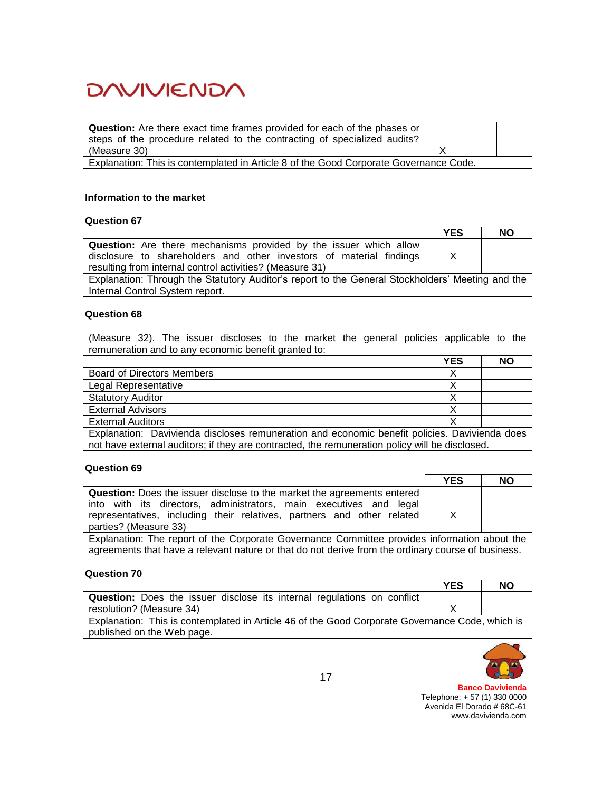| <b>Question:</b> Are there exact time frames provided for each of the phases or       |  |  |
|---------------------------------------------------------------------------------------|--|--|
| steps of the procedure related to the contracting of specialized audits?              |  |  |
| (Measure 30)                                                                          |  |  |
| Explanation: This is contemplated in Article 8 of the Good Corporate Governance Code. |  |  |

#### **Information to the market**

## **Question 67**

|                                                                                                  | <b>YES</b> | <b>NO</b> |
|--------------------------------------------------------------------------------------------------|------------|-----------|
| Question: Are there mechanisms provided by the issuer which allow                                |            |           |
| disclosure to shareholders and other investors of material findings                              | X          |           |
| resulting from internal control activities? (Measure 31)                                         |            |           |
| Explanation: Through the Statutory Auditor's report to the General Stockholders' Meeting and the |            |           |
| Internal Control System report.                                                                  |            |           |

#### **Question 68**

|                                                      |  |  |  |  |  | (Measure 32). The issuer discloses to the market the general policies applicable to the |  |
|------------------------------------------------------|--|--|--|--|--|-----------------------------------------------------------------------------------------|--|
| remuneration and to any economic benefit granted to: |  |  |  |  |  |                                                                                         |  |

|                                                                                                                                                                                                 | <b>YES</b> | <b>NO</b> |
|-------------------------------------------------------------------------------------------------------------------------------------------------------------------------------------------------|------------|-----------|
| <b>Board of Directors Members</b>                                                                                                                                                               |            |           |
| Legal Representative                                                                                                                                                                            |            |           |
| <b>Statutory Auditor</b>                                                                                                                                                                        |            |           |
| <b>External Advisors</b>                                                                                                                                                                        |            |           |
| <b>External Auditors</b>                                                                                                                                                                        |            |           |
| Explanation: Davivienda discloses remuneration and economic benefit policies. Davivienda does<br>not have external auditors; if they are contracted, the remuneration policy will be disclosed. |            |           |

## **Question 69**

|                                                                                | <b>YES</b> | <b>NO</b> |
|--------------------------------------------------------------------------------|------------|-----------|
| <b>Question:</b> Does the issuer disclose to the market the agreements entered |            |           |
| into with its directors, administrators, main executives and legal             |            |           |
| representatives, including their relatives, partners and other related         | X          |           |
| parties? (Measure 33)                                                          |            |           |

Explanation: The report of the Corporate Governance Committee provides information about the agreements that have a relevant nature or that do not derive from the ordinary course of business.

#### **Question 70**

|                                                                                                 | <b>YES</b> | <b>NO</b> |  |
|-------------------------------------------------------------------------------------------------|------------|-----------|--|
| <b>Question:</b> Does the issuer disclose its internal regulations on conflict                  |            |           |  |
| resolution? (Measure 34)                                                                        |            |           |  |
| Explanation: This is contemplated in Article 46 of the Good Corporate Governance Code, which is |            |           |  |
| published on the Web page.                                                                      |            |           |  |

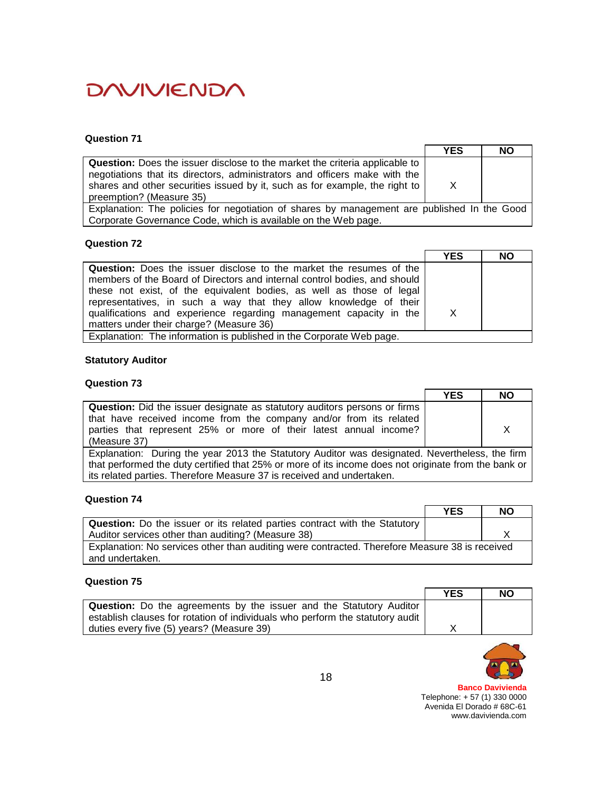## **Question 71**

|                                                                                                                                                                                                                                                                             | <b>YES</b>   | <b>NO</b> |
|-----------------------------------------------------------------------------------------------------------------------------------------------------------------------------------------------------------------------------------------------------------------------------|--------------|-----------|
| <b>Question:</b> Does the issuer disclose to the market the criteria applicable to<br>negotiations that its directors, administrators and officers make with the<br>shares and other securities issued by it, such as for example, the right to<br>preemption? (Measure 35) | $\mathsf{X}$ |           |
| Explanation: The policies for negotiation of shares by management are published In the Good                                                                                                                                                                                 |              |           |
| Corporate Governance Code, which is available on the Web page.                                                                                                                                                                                                              |              |           |

### **Question 72**

|                                                                            | <b>YES</b> | <b>NO</b> |
|----------------------------------------------------------------------------|------------|-----------|
| <b>Question:</b> Does the issuer disclose to the market the resumes of the |            |           |
| members of the Board of Directors and internal control bodies, and should  |            |           |
| these not exist, of the equivalent bodies, as well as those of legal       |            |           |
| representatives, in such a way that they allow knowledge of their          |            |           |
| qualifications and experience regarding management capacity in the         | X          |           |
| matters under their charge? (Measure 36)                                   |            |           |
| Explanation: The information is published in the Corporate Web page.       |            |           |

## **Statutory Auditor**

### **Question 73**

|                                                                                                      | <b>YES</b> | NO |
|------------------------------------------------------------------------------------------------------|------------|----|
| <b>Question:</b> Did the issuer designate as statutory auditors persons or firms                     |            |    |
| that have received income from the company and/or from its related                                   |            |    |
| parties that represent 25% or more of their latest annual income?                                    |            | X  |
| (Measure 37)                                                                                         |            |    |
| Explanation: During the year 2013 the Statutory Auditor was designated. Nevertheless, the firm       |            |    |
| that performed the duty certified that 25% or more of its income does not originate from the bank or |            |    |
| its related parties. Therefore Measure 37 is received and undertaken.                                |            |    |

#### **Question 74**

|                                                                                                | <b>YES</b> | NO |
|------------------------------------------------------------------------------------------------|------------|----|
| <b>Question:</b> Do the issuer or its related parties contract with the Statutory              |            |    |
| Auditor services other than auditing? (Measure 38)                                             |            |    |
| Explanation: No services other than auditing were contracted. Therefore Measure 38 is received |            |    |
| and undertaken.                                                                                |            |    |

#### **Question 75**

|                                                                               | <b>YES</b> | <b>NO</b> |
|-------------------------------------------------------------------------------|------------|-----------|
| <b>Question:</b> Do the agreements by the issuer and the Statutory Auditor    |            |           |
| establish clauses for rotation of individuals who perform the statutory audit |            |           |
| duties every five (5) years? (Measure 39)                                     |            |           |

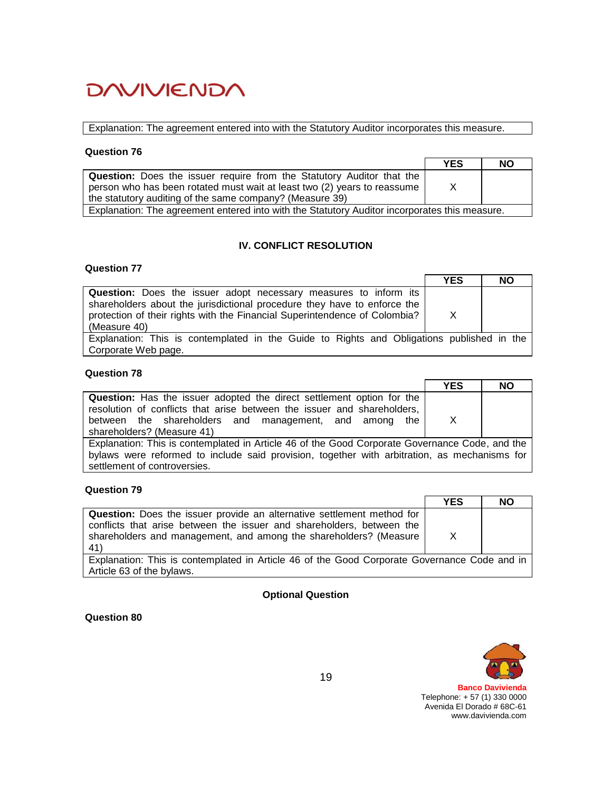Explanation: The agreement entered into with the Statutory Auditor incorporates this measure.

#### **Question 76**

|                                                                                                                                                                                                               | <b>YES</b> | <b>NO</b> |
|---------------------------------------------------------------------------------------------------------------------------------------------------------------------------------------------------------------|------------|-----------|
| Question: Does the issuer require from the Statutory Auditor that the<br>person who has been rotated must wait at least two (2) years to reassume<br>the statutory auditing of the same company? (Measure 39) | X          |           |
| Explanation: The agreement entered into with the Statutory Auditor incorporates this measure.                                                                                                                 |            |           |

# **IV. CONFLICT RESOLUTION**

#### **Question 77**

|                                                                                           | <b>YES</b> | <b>NO</b> |
|-------------------------------------------------------------------------------------------|------------|-----------|
| <b>Question:</b> Does the issuer adopt necessary measures to inform its                   |            |           |
| shareholders about the jurisdictional procedure they have to enforce the                  |            |           |
| protection of their rights with the Financial Superintendence of Colombia?                | X          |           |
| (Measure 40)                                                                              |            |           |
| Explanation: This is contemplated in the Guide to Rights and Obligations published in the |            |           |
| Corporate Web page.                                                                       |            |           |

### **Question 78**

|                                                                              | <b>YES</b>    | <b>NO</b> |
|------------------------------------------------------------------------------|---------------|-----------|
| <b>Question:</b> Has the issuer adopted the direct settlement option for the |               |           |
| resolution of conflicts that arise between the issuer and shareholders,      |               |           |
| between the shareholders and management, and among<br>the l                  | X             |           |
| shareholders? (Measure 41)                                                   |               |           |
|                                                                              | $\sim$ $\sim$ | $\sim$    |

Explanation: This is contemplated in Article 46 of the Good Corporate Governance Code, and the bylaws were reformed to include said provision, together with arbitration, as mechanisms for settlement of controversies.

# **Question 79**

|                                                                                              | <b>YES</b> | <b>NO</b> |
|----------------------------------------------------------------------------------------------|------------|-----------|
| <b>Question:</b> Does the issuer provide an alternative settlement method for                |            |           |
| conflicts that arise between the issuer and shareholders, between the                        |            |           |
| shareholders and management, and among the shareholders? (Measure                            | X          |           |
| 41)                                                                                          |            |           |
| Explanation: This is contemplated in Article 46 of the Good Corporate Governance Code and in |            |           |

#### **Optional Question**

**Question 80**

Article 63 of the bylaws.